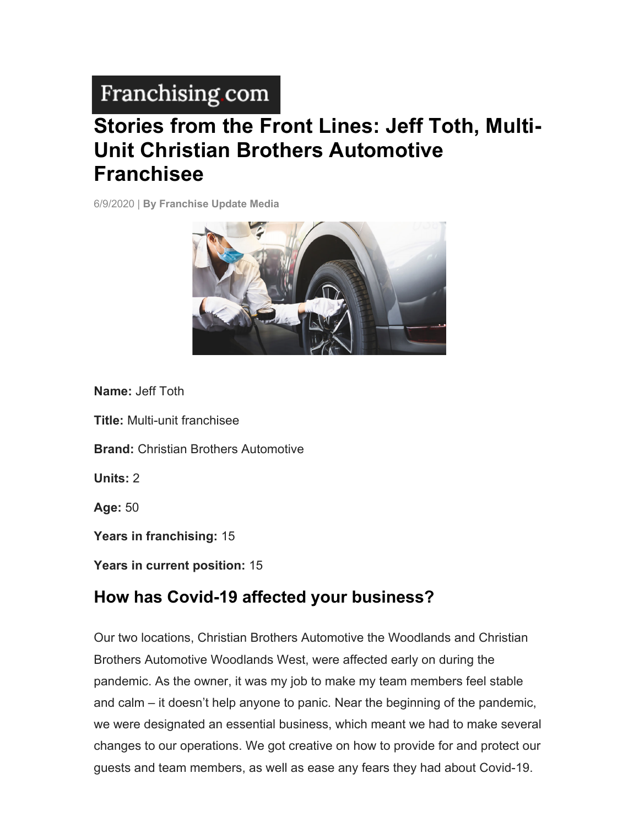# Franchising com

# **Stories from the Front Lines: Jeff Toth, Multi-Unit Christian Brothers Automotive Franchisee**

6/9/2020 | **By Franchise Update Media**



**Name:** Jeff Toth

**Title:** Multi-unit franchisee

**Brand:** Christian Brothers Automotive

**Units:** 2

**Age:** 50

**Years in franchising:** 15

**Years in current position:** 15

#### **How has Covid-19 affected your business?**

Our two locations, Christian Brothers Automotive the Woodlands and Christian Brothers Automotive Woodlands West, were affected early on during the pandemic. As the owner, it was my job to make my team members feel stable and calm – it doesn't help anyone to panic. Near the beginning of the pandemic, we were designated an essential business, which meant we had to make several changes to our operations. We got creative on how to provide for and protect our guests and team members, as well as ease any fears they had about Covid-19.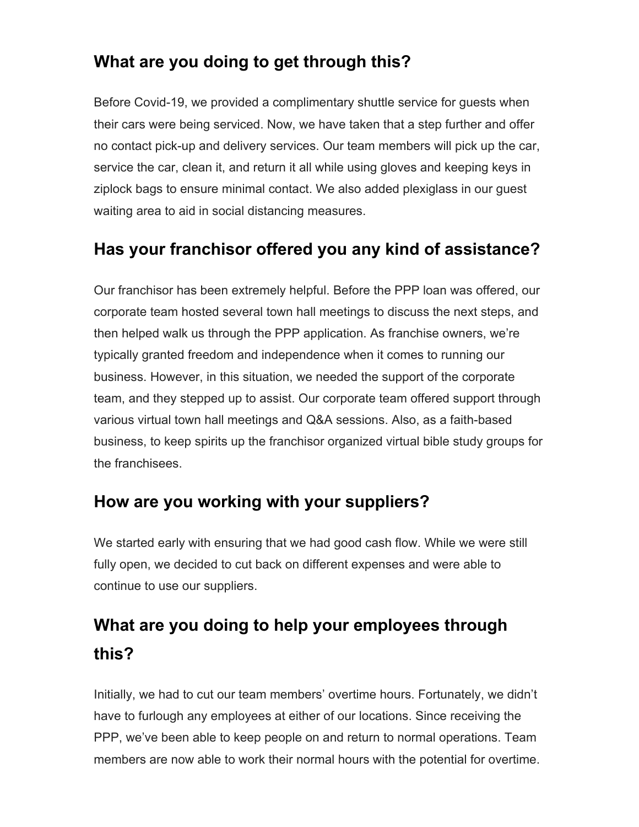### **What are you doing to get through this?**

Before Covid-19, we provided a complimentary shuttle service for guests when their cars were being serviced. Now, we have taken that a step further and offer no contact pick-up and delivery services. Our team members will pick up the car, service the car, clean it, and return it all while using gloves and keeping keys in ziplock bags to ensure minimal contact. We also added plexiglass in our guest waiting area to aid in social distancing measures.

#### **Has your franchisor offered you any kind of assistance?**

Our franchisor has been extremely helpful. Before the PPP loan was offered, our corporate team hosted several town hall meetings to discuss the next steps, and then helped walk us through the PPP application. As franchise owners, we're typically granted freedom and independence when it comes to running our business. However, in this situation, we needed the support of the corporate team, and they stepped up to assist. Our corporate team offered support through various virtual town hall meetings and Q&A sessions. Also, as a faith-based business, to keep spirits up the franchisor organized virtual bible study groups for the franchisees.

#### **How are you working with your suppliers?**

We started early with ensuring that we had good cash flow. While we were still fully open, we decided to cut back on different expenses and were able to continue to use our suppliers.

# **What are you doing to help your employees through this?**

Initially, we had to cut our team members' overtime hours. Fortunately, we didn't have to furlough any employees at either of our locations. Since receiving the PPP, we've been able to keep people on and return to normal operations. Team members are now able to work their normal hours with the potential for overtime.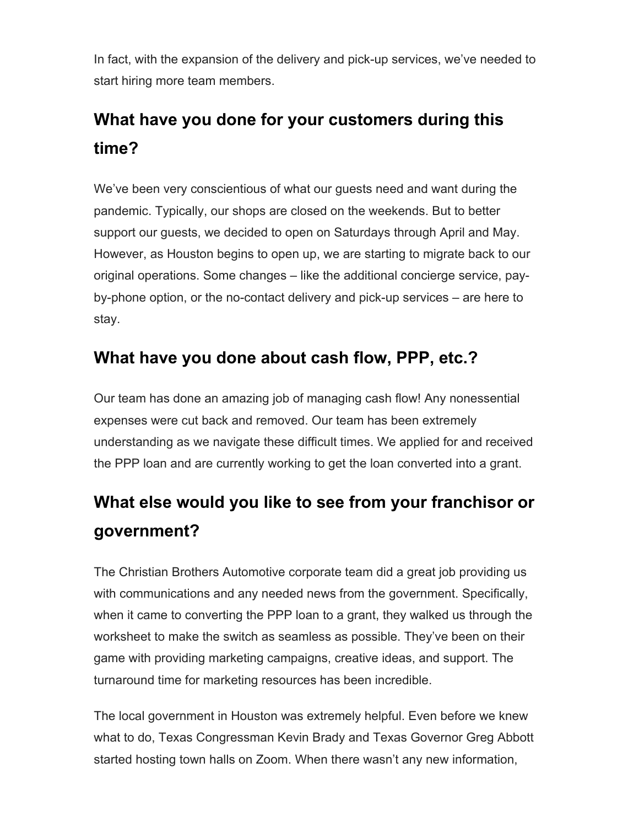In fact, with the expansion of the delivery and pick-up services, we've needed to start hiring more team members.

### **What have you done for your customers during this time?**

We've been very conscientious of what our guests need and want during the pandemic. Typically, our shops are closed on the weekends. But to better support our guests, we decided to open on Saturdays through April and May. However, as Houston begins to open up, we are starting to migrate back to our original operations. Some changes – like the additional concierge service, payby-phone option, or the no-contact delivery and pick-up services – are here to stay.

### **What have you done about cash flow, PPP, etc.?**

Our team has done an amazing job of managing cash flow! Any nonessential expenses were cut back and removed. Our team has been extremely understanding as we navigate these difficult times. We applied for and received the PPP loan and are currently working to get the loan converted into a grant.

### **What else would you like to see from your franchisor or government?**

The Christian Brothers Automotive corporate team did a great job providing us with communications and any needed news from the government. Specifically, when it came to converting the PPP loan to a grant, they walked us through the worksheet to make the switch as seamless as possible. They've been on their game with providing marketing campaigns, creative ideas, and support. The turnaround time for marketing resources has been incredible.

The local government in Houston was extremely helpful. Even before we knew what to do, Texas Congressman Kevin Brady and Texas Governor Greg Abbott started hosting town halls on Zoom. When there wasn't any new information,